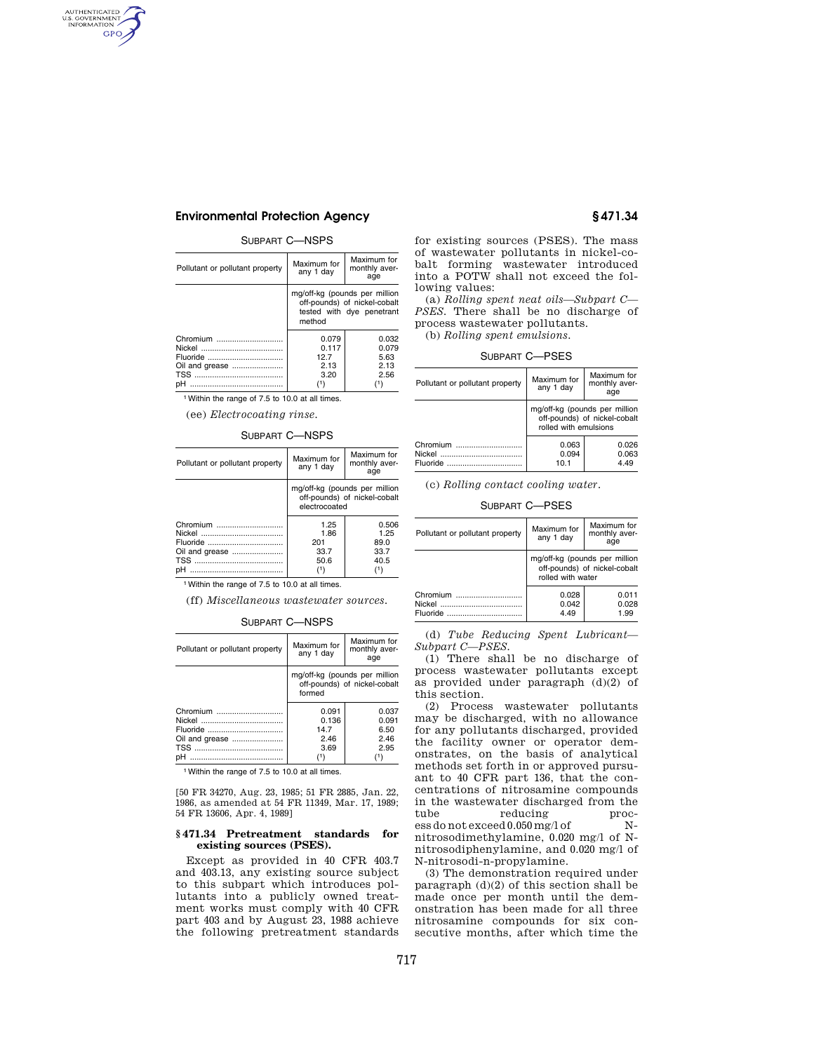# **Environmental Protection Agency § 471.34**

## SUBPART C—NSPS

| Pollutant or pollutant property | Maximum for<br>any 1 day                                                                             | Maximum for<br>monthly aver-<br>age |
|---------------------------------|------------------------------------------------------------------------------------------------------|-------------------------------------|
|                                 | mg/off-kg (pounds per million<br>off-pounds) of nickel-cobalt<br>tested with dye penetrant<br>method |                                     |
| Chromium                        | 0.079                                                                                                | 0.032                               |
|                                 | 0.117                                                                                                | 0.079                               |
| Fluoride                        | 12.7                                                                                                 | 5.63                                |
| Oil and grease                  | 2.13                                                                                                 | 2 13                                |
|                                 | 3.20                                                                                                 | 2.56                                |
| pH<br>                          | (1)                                                                                                  | (1)                                 |

1Within the range of 7.5 to 10.0 at all times.

(ee) *Electrocoating rinse.* 

| Pollutant or pollutant property | Maximum for<br>any 1 day                                                       | Maximum for<br>monthly aver-<br>age |
|---------------------------------|--------------------------------------------------------------------------------|-------------------------------------|
|                                 | mg/off-kg (pounds per million<br>off-pounds) of nickel-cobalt<br>electrocoated |                                     |
| Chromium                        | 1.25<br>1.86                                                                   | 0.506<br>1.25                       |
|                                 | 201                                                                            | 89.0                                |
| Oil and grease                  | 33.7                                                                           | 33.7                                |
|                                 | 50.6                                                                           | 40.5                                |
| рH                              | (1)                                                                            | (1)                                 |

1Within the range of 7.5 to 10.0 at all times.

(ff) *Miscellaneous wastewater sources.* 

### SUBPART C—NSPS

| Pollutant or pollutant property | Maximum for<br>any 1 day                                                | Maximum for<br>monthly aver-<br>age |
|---------------------------------|-------------------------------------------------------------------------|-------------------------------------|
|                                 | mg/off-kg (pounds per million<br>off-pounds) of nickel-cobalt<br>formed |                                     |
| Chromium                        | 0.091                                                                   | 0.037                               |
|                                 | 0.136                                                                   | 0.091                               |
| Fluoride                        | 14.7                                                                    | 6.50                                |
| Oil and grease                  | 2.46                                                                    | 2.46                                |
|                                 | 3.69                                                                    | 2.95                                |
|                                 | ٬۱                                                                      |                                     |

1Within the range of 7.5 to 10.0 at all times.

[50 FR 34270, Aug. 23, 1985; 51 FR 2885, Jan. 22, 1986, as amended at 54 FR 11349, Mar. 17, 1989; 54 FR 13606, Apr. 4, 1989]

#### **§ 471.34 Pretreatment standards for existing sources (PSES).**

Except as provided in 40 CFR 403.7 and 403.13, any existing source subject to this subpart which introduces pollutants into a publicly owned treatment works must comply with 40 CFR part 403 and by August 23, 1988 achieve the following pretreatment standards for existing sources (PSES). The mass of wastewater pollutants in nickel-cobalt forming wastewater introduced into a POTW shall not exceed the following values:

(a) *Rolling spent neat oils—Subpart C— PSES.* There shall be no discharge of process wastewater pollutants.

(b) *Rolling spent emulsions.* 

#### SUBPART C—PSES

| Pollutant or pollutant property | Maximum for<br>any 1 day | Maximum for<br>monthly aver-<br>age                           |
|---------------------------------|--------------------------|---------------------------------------------------------------|
|                                 | rolled with emulsions    | mg/off-kg (pounds per million<br>off-pounds) of nickel-cobalt |
| Chromium<br>Fluoride            | 0.063<br>0.094<br>10.1   | 0.026<br>0.063<br>4.49                                        |

(c) *Rolling contact cooling water.* 

## SUBPART C—PSES

| Pollutant or pollutant property | Maximum for<br>any 1 day | Maximum for<br>monthly aver-<br>age                           |
|---------------------------------|--------------------------|---------------------------------------------------------------|
|                                 | rolled with water        | mg/off-kg (pounds per million<br>off-pounds) of nickel-cobalt |
| Chromium<br>Fluoride            | 0.028<br>0.042<br>4.49   | 0.011<br>0.028<br>1.99                                        |

(d) *Tube Reducing Spent Lubricant— Subpart C—PSES.* 

(1) There shall be no discharge of process wastewater pollutants except as provided under paragraph (d)(2) of this section.

(2) Process wastewater pollutants may be discharged, with no allowance for any pollutants discharged, provided the facility owner or operator demonstrates, on the basis of analytical methods set forth in or approved pursuant to 40 CFR part 136, that the concentrations of nitrosamine compounds in the wastewater discharged from the tube reducing essdonotexceed0.050mg/lof Nnitrosodimethylamine, 0.020 mg/l of Nnitrosodiphenylamine, and 0.020 mg/l of N-nitrosodi-n-propylamine.

(3) The demonstration required under paragraph (d)(2) of this section shall be made once per month until the demonstration has been made for all three nitrosamine compounds for six consecutive months, after which time the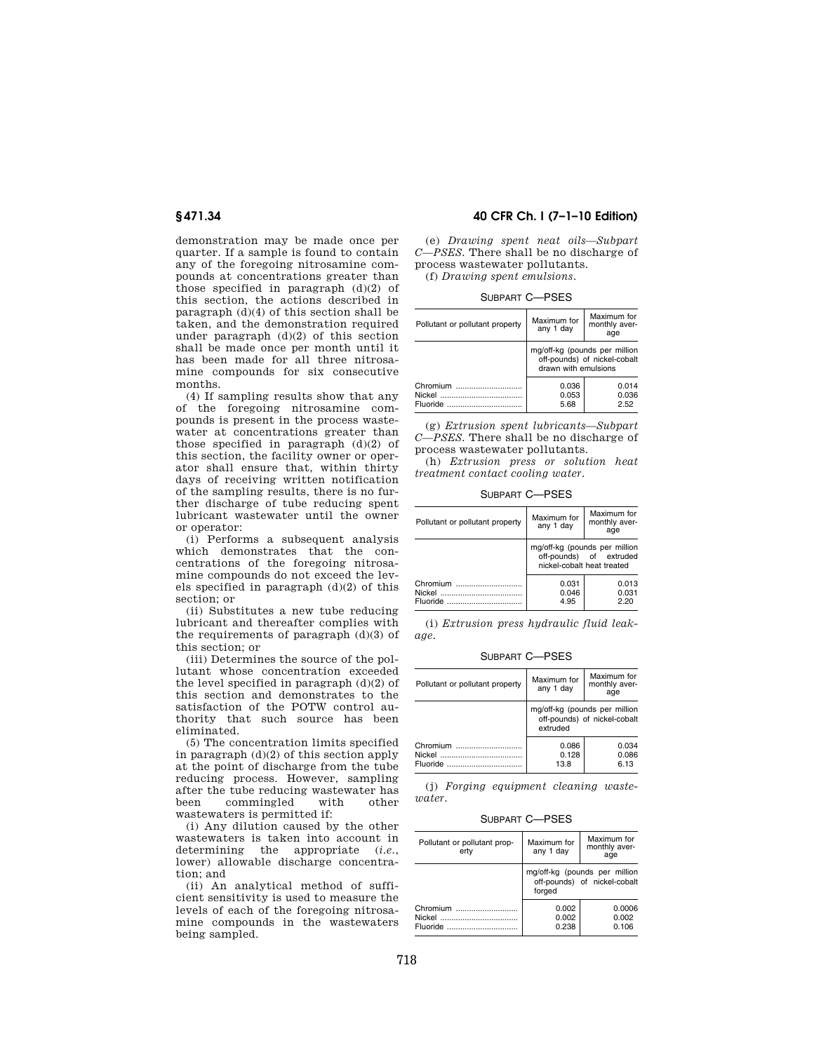demonstration may be made once per quarter. If a sample is found to contain any of the foregoing nitrosamine compounds at concentrations greater than those specified in paragraph  $(d)(2)$  of this section, the actions described in paragraph (d)(4) of this section shall be taken, and the demonstration required under paragraph (d)(2) of this section shall be made once per month until it has been made for all three nitrosamine compounds for six consecutive months.

(4) If sampling results show that any of the foregoing nitrosamine compounds is present in the process wastewater at concentrations greater than those specified in paragraph (d)(2) of this section, the facility owner or operator shall ensure that, within thirty days of receiving written notification of the sampling results, there is no further discharge of tube reducing spent lubricant wastewater until the owner or operator:

(i) Performs a subsequent analysis which demonstrates that the concentrations of the foregoing nitrosamine compounds do not exceed the levels specified in paragraph (d)(2) of this section; or

(ii) Substitutes a new tube reducing lubricant and thereafter complies with the requirements of paragraph  $(d)(3)$  of this section; or

(iii) Determines the source of the pollutant whose concentration exceeded the level specified in paragraph  $(d)(2)$  of this section and demonstrates to the satisfaction of the POTW control authority that such source has been eliminated.

(5) The concentration limits specified in paragraph (d)(2) of this section apply at the point of discharge from the tube reducing process. However, sampling after the tube reducing wastewater has<br>been commingled with other been commingled with other wastewaters is permitted if:

(i) Any dilution caused by the other wastewaters is taken into account in determining the appropriate (*i.e.*, lower) allowable discharge concentration; and

(ii) An analytical method of sufficient sensitivity is used to measure the levels of each of the foregoing nitrosamine compounds in the wastewaters being sampled.

# **§ 471.34 40 CFR Ch. I (7–1–10 Edition)**

(e) *Drawing spent neat oils—Subpart C—PSES.* There shall be no discharge of process wastewater pollutants. (f) *Drawing spent emulsions.* 

SUBPART C—PSES

| Pollutant or pollutant property | Maximum for<br>any 1 day                                                              | Maximum for<br>monthly aver-<br>age |
|---------------------------------|---------------------------------------------------------------------------------------|-------------------------------------|
|                                 | mg/off-kg (pounds per million<br>off-pounds) of nickel-cobalt<br>drawn with emulsions |                                     |
| Chromium<br>Nickel<br>Fluoride  | 0.036<br>0.053<br>5.68                                                                | 0.014<br>0.036<br>2.52              |

(g) *Extrusion spent lubricants—Subpart C—PSES.* There shall be no discharge of process wastewater pollutants.

(h) *Extrusion press or solution heat treatment contact cooling water.* 

SUBPART C—PSES

| Pollutant or pollutant property | Maximum for<br>any 1 day   | Maximum for<br>monthly aver-<br>age                      |
|---------------------------------|----------------------------|----------------------------------------------------------|
|                                 | nickel-cobalt heat treated | mg/off-kg (pounds per million<br>off-pounds) of extruded |
| Chromium<br>Nickel<br>Fluoride  | 0.031<br>0.046<br>4.95     | 0.013<br>0.031<br>2.20                                   |

(i) *Extrusion press hydraulic fluid leakage.* 

#### SUBPART C—PSES

| Pollutant or pollutant property | Maximum for<br>any 1 day                                                  | Maximum for<br>monthly aver-<br>age |
|---------------------------------|---------------------------------------------------------------------------|-------------------------------------|
|                                 | mg/off-kg (pounds per million<br>off-pounds) of nickel-cobalt<br>extruded |                                     |
| Chromium                        | 0.086<br>0.128<br>13.8                                                    | 0.034<br>0.086<br>6.13              |

(j) *Forging equipment cleaning wastewater.* 

SUBPART C—PSES

| Pollutant or pollutant prop-<br>ertv | Maximum for<br>any 1 day                                                | Maximum for<br>monthly aver-<br>age |
|--------------------------------------|-------------------------------------------------------------------------|-------------------------------------|
|                                      | mg/off-kg (pounds per million<br>off-pounds) of nickel-cobalt<br>forged |                                     |
| Chromium<br>Nickel<br>Fluoride       | 0.002<br>0.002<br>0.238                                                 | 0.0006<br>0.002<br>0.106            |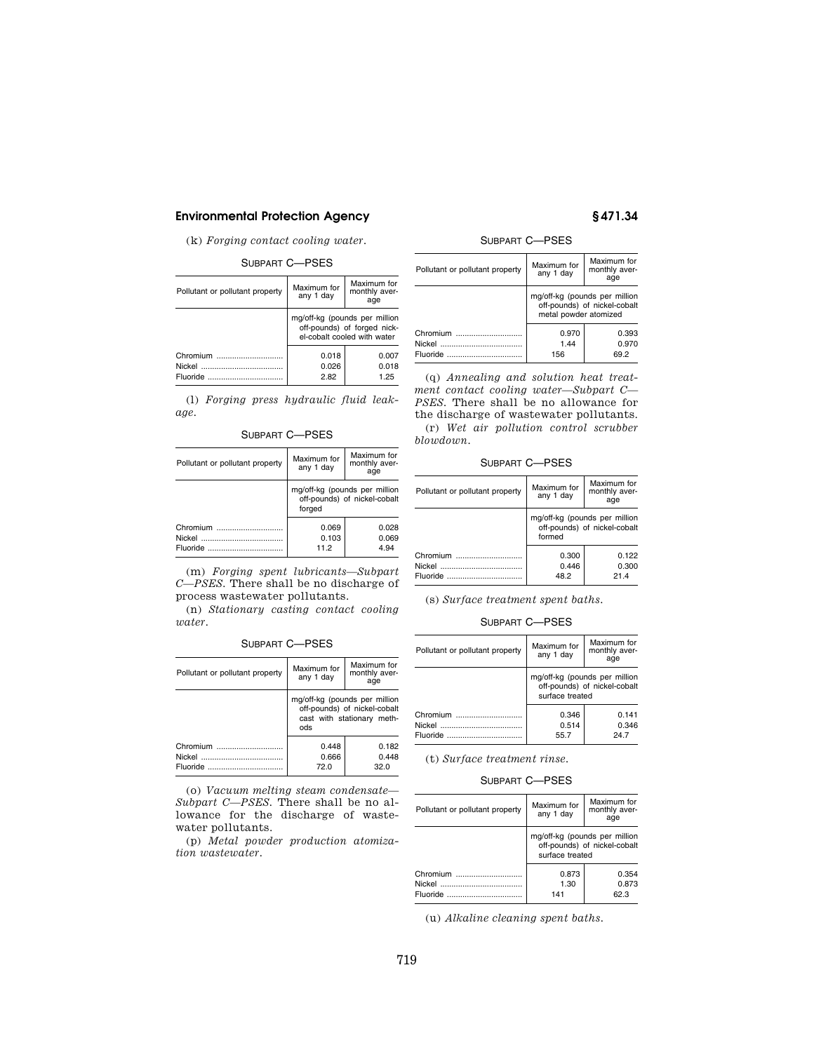# **Environmental Protection Agency § 471.34**

(k) *Forging contact cooling water.* 

### SUBPART C—PSES

| Pollutant or pollutant property | Maximum for<br>any 1 day                                                                    | Maximum for<br>monthly aver-<br>age |
|---------------------------------|---------------------------------------------------------------------------------------------|-------------------------------------|
|                                 | mg/off-kg (pounds per million<br>off-pounds) of forged nick-<br>el-cobalt cooled with water |                                     |
| Chromium                        | 0.018<br>0.026<br>2.82                                                                      | 0.007<br>0.018<br>1.25              |

(l) *Forging press hydraulic fluid leakage.* 

SUBPART C—PSES

| Pollutant or pollutant property | Maximum for<br>any 1 day                                                | Maximum for<br>monthly aver-<br>age |
|---------------------------------|-------------------------------------------------------------------------|-------------------------------------|
|                                 | mg/off-kg (pounds per million<br>off-pounds) of nickel-cobalt<br>forged |                                     |
| Chromium                        | 0.069                                                                   | 0.028                               |
|                                 | 0.103                                                                   | 0.069                               |
| Fluoride                        | 11.2                                                                    | 4 94                                |

(m) *Forging spent lubricants—Subpart C—PSES.* There shall be no discharge of process wastewater pollutants.

(n) *Stationary casting contact cooling water.* 

## SUBPART C—PSES

| Pollutant or pollutant property | Maximum for<br>any 1 day                                                                           | Maximum for<br>monthly aver-<br>age |
|---------------------------------|----------------------------------------------------------------------------------------------------|-------------------------------------|
|                                 | mg/off-kg (pounds per million<br>off-pounds) of nickel-cobalt<br>cast with stationary meth-<br>ods |                                     |
| Chromium                        | 0.448                                                                                              | 0.182                               |
| Nickel                          | 0.666                                                                                              | 0.448                               |
| Fluoride                        | 72.0                                                                                               | 32.0                                |

(o) *Vacuum melting steam condensate— Subpart C—PSES.* There shall be no allowance for the discharge of wastewater pollutants.

(p) *Metal powder production atomization wastewater.* 

## SUBPART C—PSES

| Pollutant or pollutant property | Maximum for<br>any 1 day                                                               | Maximum for<br>monthly aver-<br>age |
|---------------------------------|----------------------------------------------------------------------------------------|-------------------------------------|
|                                 | mg/off-kg (pounds per million<br>off-pounds) of nickel-cobalt<br>metal powder atomized |                                     |
| Chromium                        | 0.970<br>144<br>156                                                                    | 0.393<br>0.970<br>69 2              |

(q) *Annealing and solution heat treatment contact cooling water—Subpart C— PSES.* There shall be no allowance for the discharge of wastewater pollutants. (r) *Wet air pollution control scrubber* 

*blowdown.* 

SUBPART C—PSES

| Pollutant or pollutant property | Maximum for<br>any 1 day                                                | Maximum for<br>monthly aver-<br>age |
|---------------------------------|-------------------------------------------------------------------------|-------------------------------------|
|                                 | mg/off-kg (pounds per million<br>off-pounds) of nickel-cobalt<br>formed |                                     |
| Chromium<br>Nickel<br>Fluoride  | 0.300<br>0.446<br>48.2                                                  | 0.122<br>0.300<br>214               |

(s) *Surface treatment spent baths.* 

## SUBPART C—PSES

| Pollutant or pollutant property       | Maximum for<br>any 1 day                                                         | Maximum for<br>monthly aver-<br>age |
|---------------------------------------|----------------------------------------------------------------------------------|-------------------------------------|
|                                       | mg/off-kg (pounds per million<br>off-pounds) of nickel-cobalt<br>surface treated |                                     |
| Chromium<br>Fluoride <b>Executive</b> | 0.346<br>0.514<br>55.7                                                           | 0.141<br>0.346<br>247               |

(t) *Surface treatment rinse.* 

SUBPART C—PSES

| Pollutant or pollutant property | Maximum for<br>any 1 day                                                         | Maximum for<br>monthly aver-<br>age |
|---------------------------------|----------------------------------------------------------------------------------|-------------------------------------|
|                                 | mg/off-kg (pounds per million<br>off-pounds) of nickel-cobalt<br>surface treated |                                     |
| Chromium<br>Nickel<br>Fluoride  | 0.873<br>1.30<br>141                                                             | 0.354<br>0.873<br>62.3              |

(u) *Alkaline cleaning spent baths.*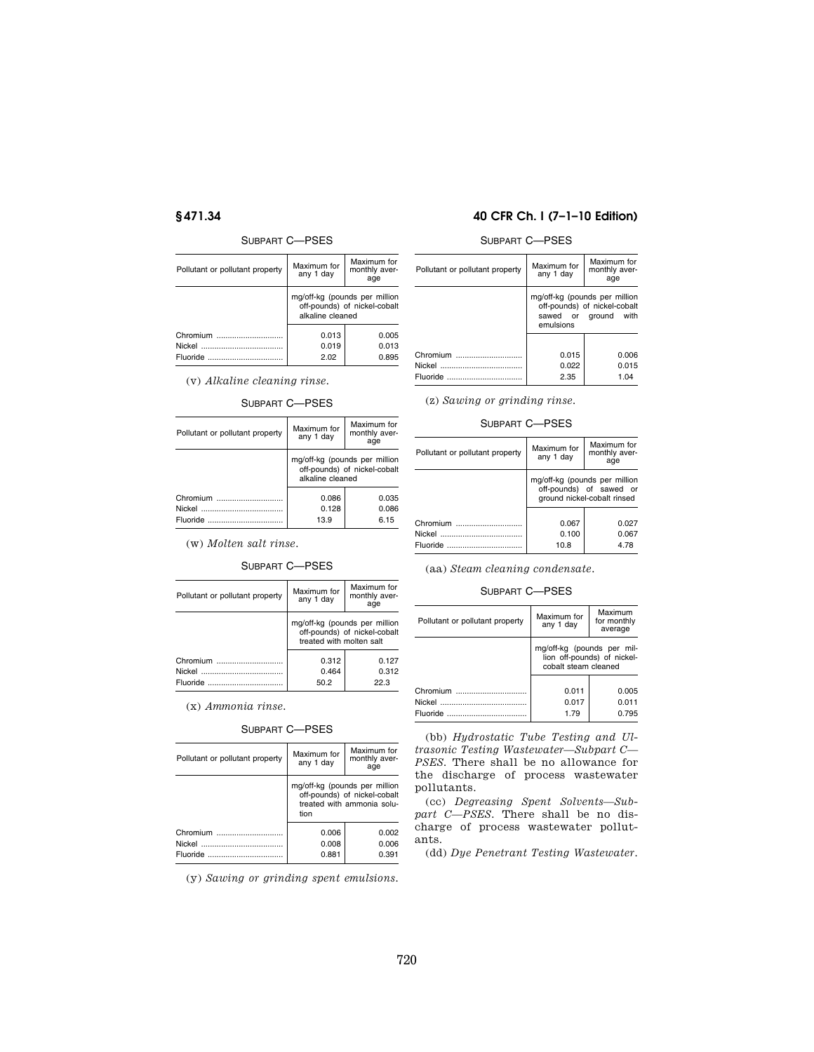# SUBPART C—PSES

| Pollutant or pollutant property | Maximum for<br>any 1 day                                                          | Maximum for<br>monthly aver-<br>age |
|---------------------------------|-----------------------------------------------------------------------------------|-------------------------------------|
|                                 | mg/off-kg (pounds per million<br>off-pounds) of nickel-cobalt<br>alkaline cleaned |                                     |
| Chromium                        | 0.013<br>0.019<br>2.02                                                            | 0.005<br>0.013<br>0.895             |

(v) *Alkaline cleaning rinse.* 

## SUBPART C—PSES

| Pollutant or pollutant property | Maximum for<br>any 1 day                                                          | Maximum for<br>monthly aver-<br>age |
|---------------------------------|-----------------------------------------------------------------------------------|-------------------------------------|
|                                 | mg/off-kg (pounds per million<br>off-pounds) of nickel-cobalt<br>alkaline cleaned |                                     |
| Chromium                        | 0.086<br>0.128                                                                    | 0.035<br>0.086                      |
|                                 | 13.9                                                                              | 6.15                                |

(w) *Molten salt rinse.* 

# SUBPART C—PSES

| Pollutant or pollutant property | Maximum for<br>any 1 day                                                                  | Maximum for<br>monthly aver-<br>age |
|---------------------------------|-------------------------------------------------------------------------------------------|-------------------------------------|
|                                 | mg/off-kg (pounds per million<br>off-pounds) of nickel-cobalt<br>treated with molten salt |                                     |
| Chromium                        | 0.312                                                                                     | 0.127                               |
| Nickel                          | 0.464                                                                                     | 0.312                               |
| Fluoride                        | 50.2                                                                                      | 22 B                                |

(x) *Ammonia rinse.* 

### SUBPART C—PSES

| Pollutant or pollutant property | Maximum for<br>any 1 day                                                                            | Maximum for<br>monthly aver-<br>age |
|---------------------------------|-----------------------------------------------------------------------------------------------------|-------------------------------------|
|                                 | mg/off-kg (pounds per million<br>off-pounds) of nickel-cobalt<br>treated with ammonia solu-<br>tion |                                     |
| Chromium                        | 0.006                                                                                               | 0.002                               |
|                                 | 0.008                                                                                               | 0.006                               |
| Fluoride                        | 0.881                                                                                               | 0.391                               |

(y) *Sawing or grinding spent emulsions.* 

# **§ 471.34 40 CFR Ch. I (7–1–10 Edition)**

# SUBPART C—PSES

| Pollutant or pollutant property | Maximum for<br>any 1 day                                                                           | Maximum for<br>monthly aver-<br>age |
|---------------------------------|----------------------------------------------------------------------------------------------------|-------------------------------------|
|                                 | mg/off-kg (pounds per million<br>off-pounds) of nickel-cobalt<br>sawed or ground with<br>emulsions |                                     |
| Chromium                        | 0.015                                                                                              | 0.006                               |
|                                 |                                                                                                    |                                     |
|                                 | 0.022                                                                                              | 0.015                               |
| Fluoride                        | 2.35                                                                                               | 1.04                                |

(z) *Sawing or grinding rinse.* 

# SUBPART C—PSES

| Pollutant or pollutant property | Maximum for<br>any 1 day                                                                | Maximum for<br>monthly aver-<br>age |
|---------------------------------|-----------------------------------------------------------------------------------------|-------------------------------------|
|                                 | mg/off-kg (pounds per million<br>off-pounds) of sawed or<br>ground nickel-cobalt rinsed |                                     |
| Chromium                        | 0.067                                                                                   | 0.027                               |
|                                 | 0.100                                                                                   | 0.067                               |
| Fluoride                        | 10.8                                                                                    | 4.78                                |

(aa) *Steam cleaning condensate.* 

# SUBPART C—PSES

| Pollutant or pollutant property | Maximum for<br>any 1 day                                                          | Maximum<br>for monthly<br>average |
|---------------------------------|-----------------------------------------------------------------------------------|-----------------------------------|
|                                 | mg/off-kg (pounds per mil-<br>lion off-pounds) of nickel-<br>cobalt steam cleaned |                                   |
|                                 |                                                                                   |                                   |
| Chromium                        | 0.011                                                                             | 0.005                             |
|                                 | 0.017                                                                             | 0.011                             |
|                                 | 1.79                                                                              | 0.795                             |

(bb) *Hydrostatic Tube Testing and Ultrasonic Testing Wastewater—Subpart C— PSES.* There shall be no allowance for the discharge of process wastewater pollutants.

(cc) *Degreasing Spent Solvents—Subpart C—PSES.* There shall be no discharge of process wastewater pollutants.

(dd) *Dye Penetrant Testing Wastewater.*